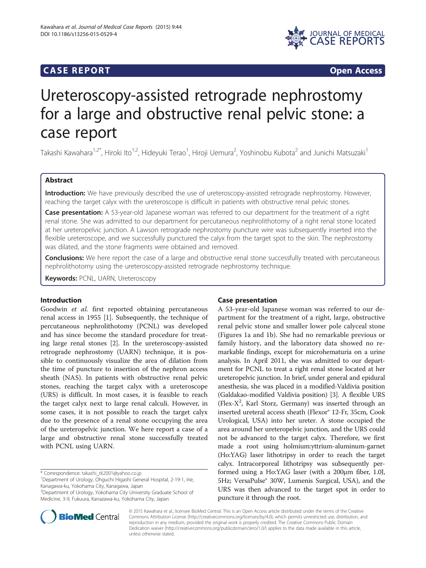# **CASE REPORT CASE REPORT**



# Ureteroscopy-assisted retrograde nephrostomy for a large and obstructive renal pelvic stone: a case report

Takashi Kawahara<sup>1,2\*</sup>, Hiroki Ito<sup>1,2</sup>, Hideyuki Terao<sup>1</sup>, Hiroji Uemura<sup>2</sup>, Yoshinobu Kubota<sup>2</sup> and Junichi Matsuzaki<sup>1</sup>

# Abstract

Introduction: We have previously described the use of ureteroscopy-assisted retrograde nephrostomy. However, reaching the target calyx with the ureteroscope is difficult in patients with obstructive renal pelvic stones.

Case presentation: A 53-year-old Japanese woman was referred to our department for the treatment of a right renal stone. She was admitted to our department for percutaneous nephrolithotomy of a right renal stone located at her ureteropelvic junction. A Lawson retrograde nephrostomy puncture wire was subsequently inserted into the flexible ureteroscope, and we successfully punctured the calyx from the target spot to the skin. The nephrostomy was dilated, and the stone fragments were obtained and removed.

Conclusions: We here report the case of a large and obstructive renal stone successfully treated with percutaneous nephrolithotomy using the ureteroscopy-assisted retrograde nephrostomy technique.

Keywords: PCNL, UARN, Ureteroscopy

## Introduction

Goodwin et al. first reported obtaining percutaneous renal access in 1955 [\[1\]](#page-1-0). Subsequently, the technique of percutaneous nephrolithotomy (PCNL) was developed and has since become the standard procedure for treating large renal stones [\[2](#page-1-0)]. In the ureteroscopy-assisted retrograde nephrostomy (UARN) technique, it is possible to continuously visualize the area of dilation from the time of puncture to insertion of the nephron access sheath (NAS). In patients with obstructive renal pelvic stones, reaching the target calyx with a ureteroscope (URS) is difficult. In most cases, it is feasible to reach the target calyx next to large renal calculi. However, in some cases, it is not possible to reach the target calyx due to the presence of a renal stone occupying the area of the ureteropelvic junction. We here report a case of a large and obstructive renal stone successfully treated with PCNL using UARN.

\* Correspondence: [takashi\\_tk2001@yahoo.co.jp](mailto:takashi_tk2001@yahoo.co.jp) <sup>1</sup>

2 Department of Urology, Yokohama City University Graduate School of Medicine, 3-9, Fukuura, Kanazawa-ku, Yokohama City, Japan

# Case presentation

A 53-year-old Japanese woman was referred to our department for the treatment of a right, large, obstructive renal pelvic stone and smaller lower pole calyceal stone (Figures [1](#page-1-0)a and [1](#page-1-0)b). She had no remarkable previous or family history, and the laboratory data showed no remarkable findings, except for microhematuria on a urine analysis. In April 2011, she was admitted to our department for PCNL to treat a right renal stone located at her ureteropelvic junction. In brief, under general and epidural anesthesia, she was placed in a modified-Valdivia position (Galdakao-modified Valdivia position) [[3](#page-1-0)]. A flexible URS (Flex-X<sup>2</sup>, Karl Storz, Germany) was inserted through an inserted ureteral access sheath (Flexor® 12-Fr, 35cm, Cook Urological, USA) into her ureter. A stone occupied the area around her ureteropelvic junction, and the URS could not be advanced to the target calyx. Therefore, we first made a root using holmium:yttrium-aluminum-garnet (Ho:YAG) laser lithotripsy in order to reach the target calyx. Intracorporeal lithotripsy was subsequently performed using a Ho:YAG laser (with a 200μm fiber, 1.0J, 5Hz; VersaPulse® 30W, Lumenis Surgical, USA), and the URS was then advanced to the target spot in order to puncture it through the root.



© 2015 Kawahara et al.; licensee BioMed Central. This is an Open Access article distributed under the terms of the Creative Commons Attribution License [\(http://creativecommons.org/licenses/by/4.0\)](http://creativecommons.org/licenses/by/4.0), which permits unrestricted use, distribution, and reproduction in any medium, provided the original work is properly credited. The Creative Commons Public Domain Dedication waiver [\(http://creativecommons.org/publicdomain/zero/1.0/](http://creativecommons.org/publicdomain/zero/1.0/)) applies to the data made available in this article, unless otherwise stated.

Department of Urology, Ohguchi Higashi General Hospital, 2-19-1, Irie, Kanagawa-ku, Yokohama City, Kanagawa, Japan